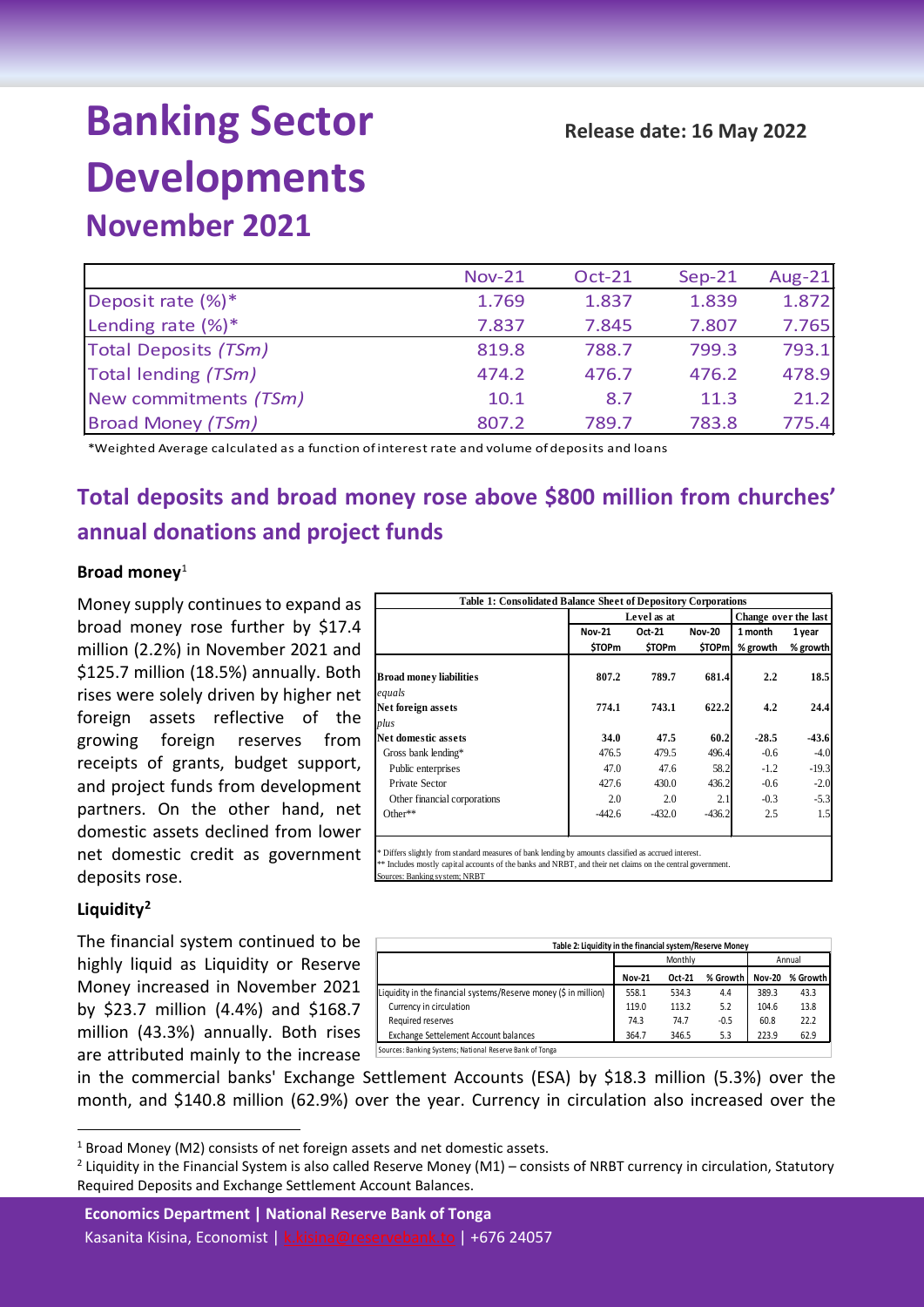# **Banking Sector Developments**

# **November 2021**

|                          | <b>Nov-21</b> | <b>Oct-21</b> | $Sep-21$ | <b>Aug-21</b> |
|--------------------------|---------------|---------------|----------|---------------|
| Deposit rate (%)*        | 1.769         | 1.837         | 1.839    | 1.872         |
| Lending rate $(\%)^*$    | 7.837         | 7.845         | 7.807    | 7.765         |
| Total Deposits (TSm)     | 819.8         | 788.7         | 799.3    | 793.1         |
| Total lending (TSm)      | 474.2         | 476.7         | 476.2    | 478.9         |
| New commitments (TSm)    | 10.1          | 8.7           | 11.3     | 21.2          |
| <b>Broad Money (TSm)</b> | 807.2         | 789.7         | 783.8    | 775.4         |

\*Weighted Average calculated as a function of interest rate and volume of deposits and loans

# **Total deposits and broad money rose above \$800 million from churches' annual donations and project funds**

### **Broad money**[1](#page-0-0)

Money supply continues to expand as broad money rose further by \$17.4 million (2.2%) in November 2021 and \$125.7 million (18.5%) annually. Both rises were solely driven by higher net foreign assets reflective of the growing foreign reserves from receipts of grants, budget support, and project funds from development partners. On the other hand, net domestic assets declined from lower net domestic credit as government deposits rose.

| Level as at<br>Change over the last |                                                                       |          |               |                        |
|-------------------------------------|-----------------------------------------------------------------------|----------|---------------|------------------------|
| <b>Nov-21</b>                       | Oct-21                                                                | 1 month  | 1 year        |                        |
| <b>\$TOPm</b>                       | <b>STOPm</b>                                                          |          | % growth      | % growth               |
| 807.2                               | 789.7                                                                 | 681.4    | 2.2           | 18.5                   |
|                                     |                                                                       |          |               |                        |
| 774.1                               | 743.1                                                                 | 622.2    | 4.2           | 24.4                   |
|                                     |                                                                       |          |               |                        |
| 34.0                                | 47.5                                                                  | 60.2     | $-28.5$       | $-43.6$                |
| 476.5                               | 479.5                                                                 |          | $-0.6$        | $-4.0$                 |
| 47.0                                | 47.6                                                                  | 58.2     | $-1.2$        | $-19.3$                |
| 427.6                               | 430.0                                                                 | 436.2    | $-0.6$        | $-2.0$                 |
| 2.0                                 | 2.0                                                                   | 2.1      | $-0.3$        | $-5.3$                 |
| $-442.6$                            | $-432.0$                                                              | $-436.2$ | 2.5           | 1.5                    |
|                                     | <b>Table 1: Consolidated Balance Sheet of Depository Corporations</b> |          | <b>Nov-20</b> | <b>STOPml</b><br>496.4 |

## **Liquidity[2](#page-0-1)**

The financial system continued to be highly liquid as Liquidity or Reserve Money increased in November 2021 by \$23.7 million (4.4%) and \$168.7 million (43.3%) annually. Both rises are attributed mainly to the increase

| Table 2: Liquidity in the financial system/Reserve Money         |               |         |          |               |          |  |  |  |
|------------------------------------------------------------------|---------------|---------|----------|---------------|----------|--|--|--|
|                                                                  |               | Monthly |          | Annual        |          |  |  |  |
|                                                                  | <b>Nov-21</b> | Oct-21  | % Growth | <b>Nov-20</b> | % Growth |  |  |  |
| Liquidity in the financial systems/Reserve money (\$ in million) | 558.1         | 534.3   | 4.4      | 389.3         | 43.3     |  |  |  |
| Currency in circulation                                          | 119.0         | 113.2   | 5.2      | 104.6         | 13.8     |  |  |  |
| Required reserves                                                | 74.3          | 74.7    | $-0.5$   | 60.8          | 22.2     |  |  |  |
| Exchange Settelement Account balances                            | 364.7         | 346.5   | 5.3      | 223.9         | 62.9     |  |  |  |
| Sources: Banking Systems; National Reserve Bank of Tonga         |               |         |          |               |          |  |  |  |

in the commercial banks' Exchange Settlement Accounts (ESA) by \$18.3 million (5.3%) over the month, and \$140.8 million (62.9%) over the year. Currency in circulation also increased over the

Sources: Banking system; NRBT

**Economics Department | National Reserve Bank of Tonga** Kasanita Kisina, Economist | [k.kisina@reservebank.to](mailto:k.kisina@reservebank.to) | +676 24057

<span id="page-0-0"></span> $1$  Broad Money (M2) consists of net foreign assets and net domestic assets.

<span id="page-0-1"></span><sup>&</sup>lt;sup>2</sup> Liquidity in the Financial System is also called Reserve Money (M1) – consists of NRBT currency in circulation, Statutory Required Deposits and Exchange Settlement Account Balances.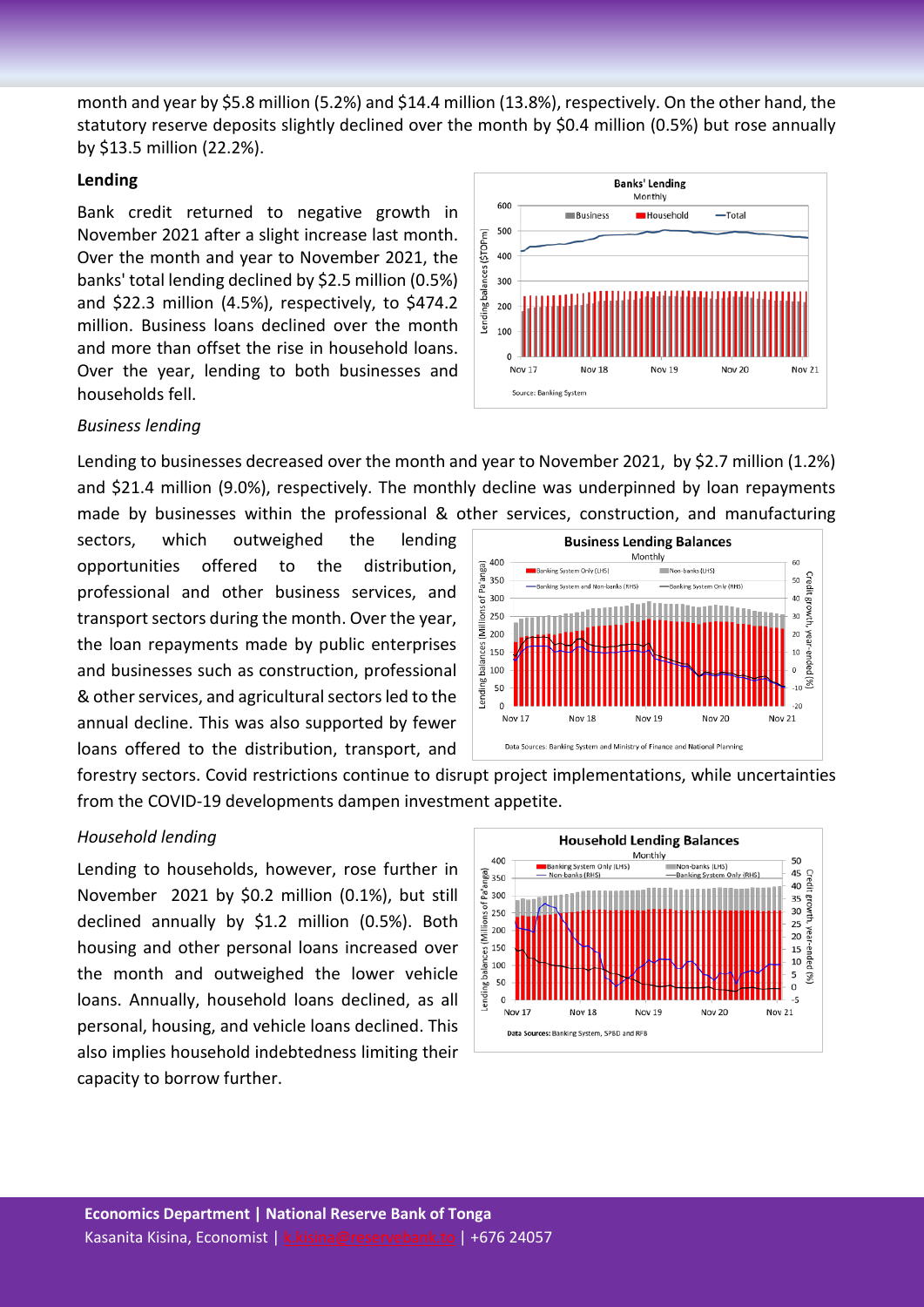month and year by \$5.8 million (5.2%) and \$14.4 million (13.8%), respectively. On the other hand, the statutory reserve deposits slightly declined over the month by \$0.4 million (0.5%) but rose annually by \$13.5 million (22.2%).

#### **Lending**

Bank credit returned to negative growth in November 2021 after a slight increase last month. Over the month and year to November 2021, the banks' total lending declined by \$2.5 million (0.5%) and \$22.3 million (4.5%), respectively, to \$474.2 million. Business loans declined over the month and more than offset the rise in household loans. Over the year, lending to both businesses and households fell.

#### *Business lending*

Lending to businesses decreased over the month and year to November 2021, by \$2.7 million (1.2%) and \$21.4 million (9.0%), respectively. The monthly decline was underpinned by loan repayments made by businesses within the professional & other services, construction, and manufacturing

sectors, which outweighed the lending opportunities offered to the distribution, professional and other business services, and transport sectors during the month. Over the year, the loan repayments made by public enterprises and businesses such as construction, professional & other services, and agricultural sectors led to the annual decline. This was also supported by fewer loans offered to the distribution, transport, and



forestry sectors. Covid restrictions continue to disrupt project implementations, while uncertainties from the COVID-19 developments dampen investment appetite.

#### *Household lending*

Lending to households, however, rose further in November 2021 by \$0.2 million (0.1%), but still declined annually by \$1.2 million (0.5%). Both housing and other personal loans increased over the month and outweighed the lower vehicle loans. Annually, household loans declined, as all personal, housing, and vehicle loans declined. This also implies household indebtedness limiting their capacity to borrow further.



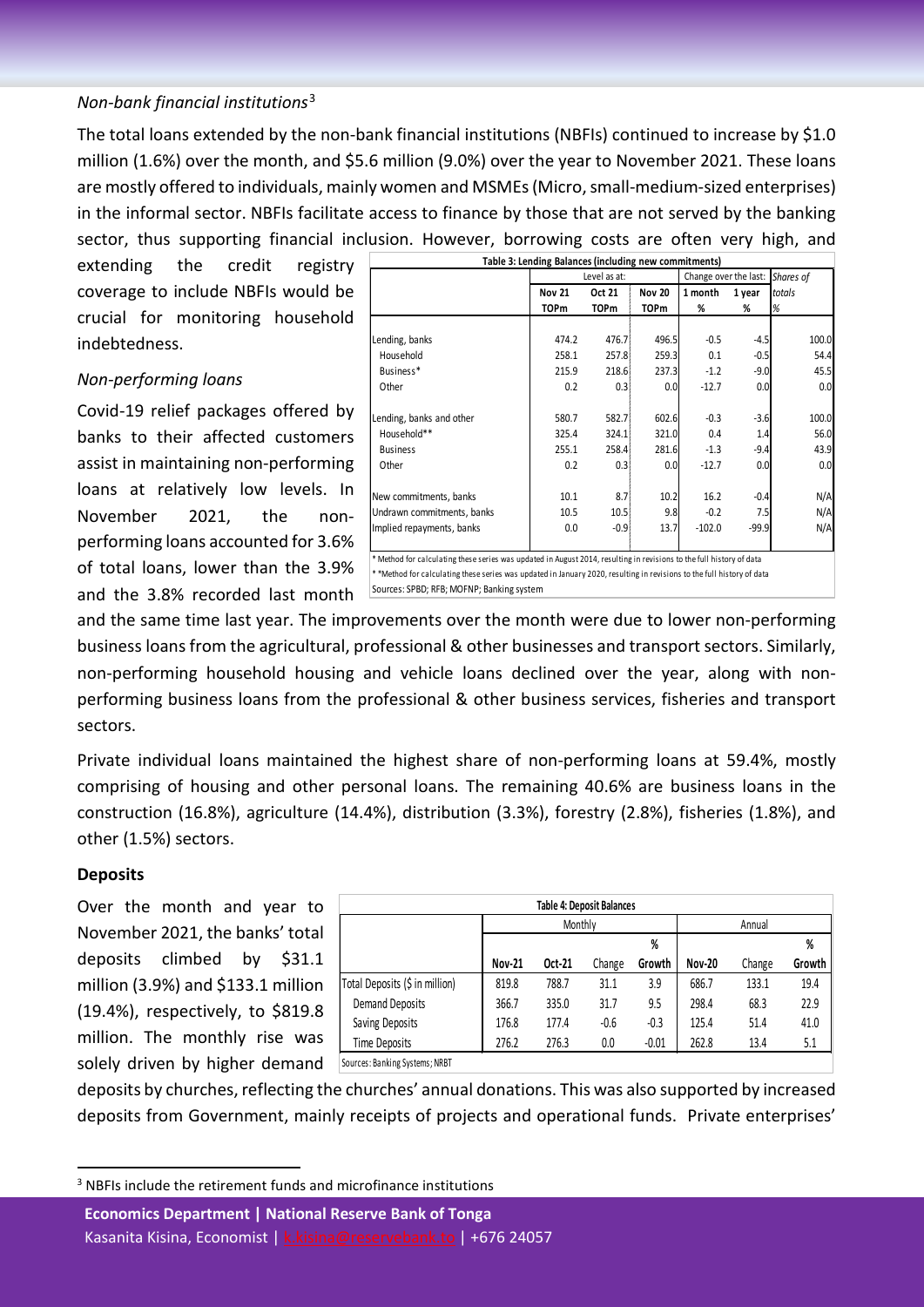# *Non-bank financial institutions*[3](#page-2-0)

The total loans extended by the non-bank financial institutions (NBFIs) continued to increase by \$1.0 million (1.6%) over the month, and \$5.6 million (9.0%) over the year to November 2021. These loans are mostly offered to individuals, mainly women and MSMEs (Micro, small-medium-sized enterprises) in the informal sector. NBFIs facilitate access to finance by those that are not served by the banking sector, thus supporting financial inclusion. However, borrowing costs are often very high, and

extending the credit registry coverage to include NBFIs would be crucial for monitoring household indebtedness.

#### *Non-performing loans*

Covid-19 relief packages offered by banks to their affected customers assist in maintaining non-performing loans at relatively low levels. In November 2021, the nonperforming loans accounted for 3.6% of total loans, lower than the 3.9% and the 3.8% recorded last month

| Table 3: Lending Balances (including new commitments) |               |              |               |                       |         |           |  |
|-------------------------------------------------------|---------------|--------------|---------------|-----------------------|---------|-----------|--|
|                                                       |               | Level as at: |               | Change over the last: |         | Shares of |  |
|                                                       | <b>Nov 21</b> | Oct 21       | <b>Nov 20</b> | 1 month<br>1 year     |         | totals    |  |
|                                                       | <b>TOPm</b>   | <b>TOPm</b>  | <b>TOPm</b>   | %                     | %       | %         |  |
|                                                       |               |              |               |                       |         |           |  |
| Lending, banks                                        | 474.2         | 476.7        | 496.5         | $-0.5$                | $-4.5$  | 100.0     |  |
| Household                                             | 258.1         | 257.8        | 259.3         | 0.1                   | $-0.5$  | 54.4      |  |
| Business*                                             | 215.9         | 218.6        | 237.3         | $-1.2$                | $-9.0$  | 45.5      |  |
| Other                                                 | 0.2           | 0.3          | 0.0           | $-12.7$               | 0.0     | 0.0       |  |
| Lending, banks and other                              | 580.7         | 582.7        | 602.6         | $-0.3$                | $-3.6$  | 100.0     |  |
| Household**                                           | 325.4         | 324.1        | 321.0         | 0.4                   | 1.4     | 56.0      |  |
| <b>Business</b>                                       | 255.1         | 258.4        | 281.6         | $-1.3$                | $-9.4$  | 43.9      |  |
| Other                                                 | 0.2           | 0.3          | 0.0           | $-12.7$               | 0.0     | 0.0       |  |
| New commitments, banks                                | 10.1          | 8.7          | 10.2          | 16.2                  | $-0.4$  | N/A       |  |
| Undrawn commitments, banks                            | 10.5          | 10.5         | 9.8           | $-0.2$                | 7.5     | N/A       |  |
| Implied repayments, banks                             | 0.0           | $-0.9$       | 13.7          | $-102.0$              | $-99.9$ | N/A       |  |

\* Method for calculating these series was updated in August 2014, resulting in revisions to the full history of data \* \*Method for calculating these series was updated in January 2020, resulting in revisions to the full history of data Sources: SPBD; RFB; MOFNP; Banking system

and the same time last year. The improvements over the month were due to lower non-performing business loans from the agricultural, professional & other businesses and transport sectors. Similarly, non-performing household housing and vehicle loans declined over the year, along with nonperforming business loans from the professional & other business services, fisheries and transport sectors.

Private individual loans maintained the highest share of non-performing loans at 59.4%, mostly comprising of housing and other personal loans. The remaining 40.6% are business loans in the construction (16.8%), agriculture (14.4%), distribution (3.3%), forestry (2.8%), fisheries (1.8%), and other (1.5%) sectors.

#### **Deposits**

Over the month and year to November 2021, the banks' total deposits climbed by \$31.1 million (3.9%) and \$133.1 million (19.4%), respectively, to \$819.8 million. The monthly rise was solely driven by higher demand

| <b>Table 4: Deposit Balances</b> |               |        |        |         |               |        |        |  |
|----------------------------------|---------------|--------|--------|---------|---------------|--------|--------|--|
| Monthly                          |               |        |        |         | Annual        |        |        |  |
|                                  |               |        |        | %       |               |        | %      |  |
|                                  | <b>Nov-21</b> | Oct-21 | Change | Growth  | <b>Nov-20</b> | Change | Growth |  |
| Total Deposits (\$ in million)   | 819.8         | 788.7  | 31.1   | 3.9     | 686.7         | 133.1  | 19.4   |  |
| <b>Demand Deposits</b>           | 366.7         | 335.0  | 31.7   | 9.5     | 298.4         | 68.3   | 22.9   |  |
| Saving Deposits                  | 176.8         | 177.4  | $-0.6$ | $-0.3$  | 125.4         | 51.4   | 41.0   |  |
| Time Deposits                    | 276.2         | 276.3  | 0.0    | $-0.01$ | 262.8         | 13.4   | 5.1    |  |
| Sources: Banking Systems; NRBT   |               |        |        |         |               |        |        |  |

deposits by churches, reflecting the churches' annual donations. This was also supported by increased deposits from Government, mainly receipts of projects and operational funds. Private enterprises'

<span id="page-2-0"></span><sup>3</sup> NBFIs include the retirement funds and microfinance institutions

**Economics Department | National Reserve Bank of Tonga** Kasanita Kisina, Economist | [k.kisina@reservebank.to](mailto:k.kisina@reservebank.to) | +676 24057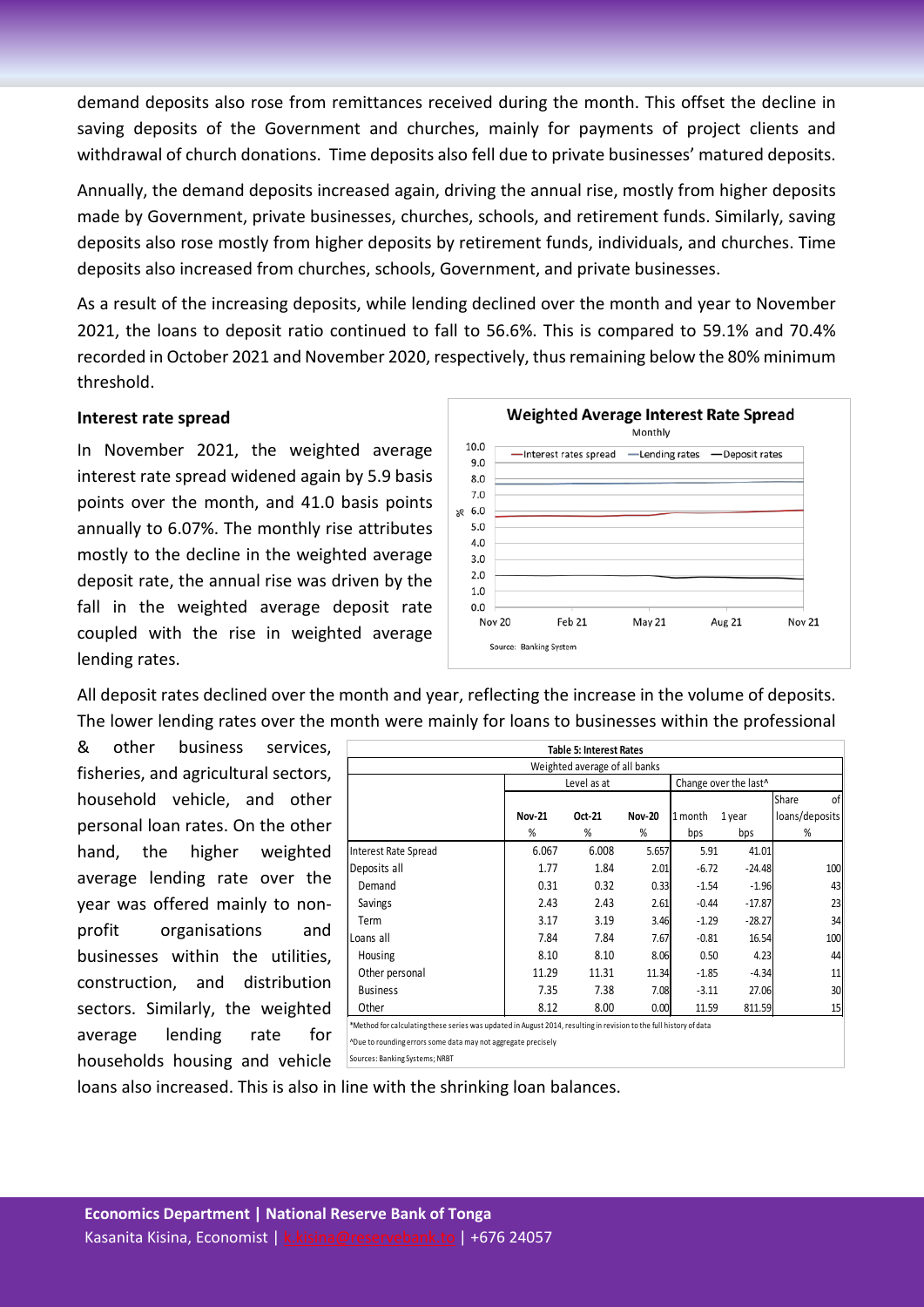demand deposits also rose from remittances received during the month. This offset the decline in saving deposits of the Government and churches, mainly for payments of project clients and withdrawal of church donations. Time deposits also fell due to private businesses' matured deposits.

Annually, the demand deposits increased again, driving the annual rise, mostly from higher deposits made by Government, private businesses, churches, schools, and retirement funds. Similarly, saving deposits also rose mostly from higher deposits by retirement funds, individuals, and churches. Time deposits also increased from churches, schools, Government, and private businesses.

As a result of the increasing deposits, while lending declined over the month and year to November 2021, the loans to deposit ratio continued to fall to 56.6%. This is compared to 59.1% and 70.4% recorded in October 2021 and November 2020, respectively, thus remaining below the 80% minimum threshold.

#### **Interest rate spread**

In November 2021, the weighted average interest rate spread widened again by 5.9 basis points over the month, and 41.0 basis points annually to 6.07%. The monthly rise attributes mostly to the decline in the weighted average deposit rate, the annual rise was driven by the fall in the weighted average deposit rate coupled with the rise in weighted average lending rates.



All deposit rates declined over the month and year, reflecting the increase in the volume of deposits. The lower lending rates over the month were mainly for loans to businesses within the professional

& other business services, fisheries, and agricultural sectors, household vehicle, and other personal loan rates. On the other hand, the higher weighted average lending rate over the year was offered mainly to nonprofit organisations and businesses within the utilities, construction, and distribution sectors. Similarly, the weighted average lending rate for households housing and vehicle

| <b>Table 5: Interest Rates</b>                                                                                     |        |        |               |         |          |                |  |  |  |
|--------------------------------------------------------------------------------------------------------------------|--------|--------|---------------|---------|----------|----------------|--|--|--|
| Weighted average of all banks                                                                                      |        |        |               |         |          |                |  |  |  |
| Level as at<br>Change over the last^                                                                               |        |        |               |         |          |                |  |  |  |
|                                                                                                                    |        |        |               |         |          | Share<br>οf    |  |  |  |
|                                                                                                                    | Nov-21 | Oct-21 | <b>Nov-20</b> | 1 month | 1 year   | loans/deposits |  |  |  |
|                                                                                                                    | %      | %      | %             | bps     | bps      | %              |  |  |  |
| <b>Interest Rate Spread</b>                                                                                        | 6.067  | 6.008  | 5.657         | 5.91    | 41.01    |                |  |  |  |
| Deposits all                                                                                                       | 1.77   | 1.84   | 2.01          | $-6.72$ | $-24.48$ | 100            |  |  |  |
| Demand                                                                                                             | 0.31   | 0.32   | 0.33          | $-1.54$ | $-1.96$  | 43             |  |  |  |
| Savings                                                                                                            | 2.43   | 2.43   | 2.61          | $-0.44$ | $-17.87$ | 23             |  |  |  |
| Term                                                                                                               | 3.17   | 3.19   | 3.46          | $-1.29$ | $-28.27$ | 34             |  |  |  |
| Loans all                                                                                                          | 7.84   | 7.84   | 7.67          | $-0.81$ | 16.54    | 100            |  |  |  |
| Housing                                                                                                            | 8.10   | 8.10   | 8.06          | 0.50    | 4.23     | 44             |  |  |  |
| Other personal                                                                                                     | 11.29  | 11.31  | 11.34         | $-1.85$ | $-4.34$  | 11             |  |  |  |
| <b>Business</b>                                                                                                    | 7.35   | 7.38   | 7.08          | $-3.11$ | 27.06    | 30             |  |  |  |
| Other                                                                                                              | 8.12   | 8.00   | 0.00          | 11.59   | 811.59   | 15             |  |  |  |
| *Method for calculating these series was updated in August 2014, resulting in revision to the full history of data |        |        |               |         |          |                |  |  |  |
| ^Due to rounding errors some data may not aggregate precisely                                                      |        |        |               |         |          |                |  |  |  |

Sources: Banking Systems; NRBT

loans also increased. This is also in line with the shrinking loan balances.